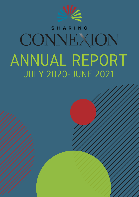

### ARING CONNEXION ANNUAL REPORT JULY 2020-JUNE 2021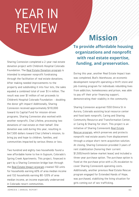## YEAR IN REVIEW

Sharing Connexion completed a 2-year real estate donation project with Children's Hospital Colorado Foundation. The Real Estate Donation program is intended to empower nonprofit fundraising through the facilitation of real estate donations. After making needed improvements to the property and subdividing it into four lots, the sales equaled a combined total of over \$1.4 million. The result was over \$1 million of net proceeds to Children's Hospital Colorado Foundation – doubling the donor gift impact! Additionally, Sharing Connexion received approximately \$110,000 toward its Capital Fund for mission-driven programs. Sharing Connexion also worked with another nonprofit, Chai Lifeline, processing two donations of real estate on their behalf. One donation was sold during this year, resulting in \$47,500 dollars toward Chai Lifeline's mission, to bring joy and hope to children, families, and communities impacted by serious illness or loss.

Two hundred and eighty-two households found a new affordable home to live in Gypsum, Colorado's Spring Creek Apartments. This project, financed in part by a Sharing Connexion bridge loan through the Real Estate Impact program created 150 units for households earning 60% of area median income and 132 households earning 80-120% of area median income, an income especially underserved in Colorado resort communities.

### **Mission**

**To provide affordable housing organizations and nonprofit with real estate expertise, funding, and preservation.**

During this year, another Real Estate Impact loan was completed, Bud's Warehouse, an economic development nonprofit operating a thrift store and job-training program for individuals rebuilding lives from addiction, homelessness and prison, was able to pay off their prior financing support, demonstrating their stability in the community.

Sharing Connexion acquired 1550 Elmira St in Aurora, Colorado assisting local resource center and food bank nonprofit, Caring and Sharing Community Resource and Transformation Center, or Caring & Sharing for short. This project is an initiative of Sharing Connexion's Real Estate Rescue program, which preserves and protects nonprofit real estate assets from displacement through a unique short-term acquisition solution. At closing, Sharing Connexion provided 3 years of rent stabilization (honoring their current \$1,500/month below-market lease) and included a three-year purchase option. The purchase option is fixed at the purchase price with a 2% escalation to cover Sharing Connexion's operating costs. Additionally, another previous Real Estate Rescue program engaged for Extended Hands of Hope, was purchased, stabilizing the living situation for girls coming out of sex trafficking.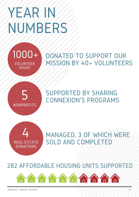## YEAR IN NUMBERS





SUPPORTED BY SHARING CONNEXION'S PROGRAMS



MANAGED, 3 OF WHICH WERE SOLD AND COMPLETED

#### 282 AFFORDABLE HOUSING UNITS SUPPORTED